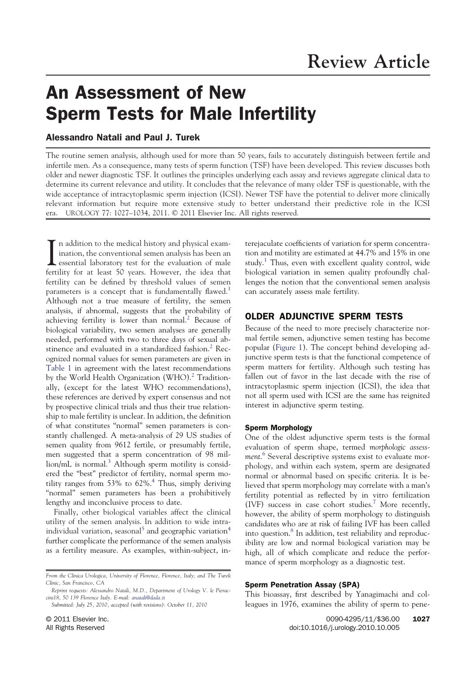# An Assessment of New Sperm Tests for Male Infertility

# Alessandro Natali and Paul J. Turek

The routine semen analysis, although used for more than 50 years, fails to accurately distinguish between fertile and infertile men. As a consequence, many tests of sperm function (TSF) have been developed. This review discusses both older and newer diagnostic TSF. It outlines the principles underlying each assay and reviews aggregate clinical data to determine its current relevance and utility. It concludes that the relevance of many older TSF is questionable, with the wide acceptance of intracytoplasmic sperm injection (ICSI). Newer TSF have the potential to deliver more clinically relevant information but require more extensive study to better understand their predictive role in the ICSI era. UROLOGY 77: 1027–1034, 2011. © 2011 Elsevier Inc. All rights reserved.

In addition to the medical history and physical exammination, the conventional semen analysis has been an essential laboratory test for the evaluation of male n addition to the medical history and physical examination, the conventional semen analysis has been an fertility for at least 50 years. However, the idea that fertility can be defined by threshold values of semen parameters is a concept that is fundamentally flawed.<sup>1</sup> Although not a true measure of fertility, the semen analysis, if abnormal, suggests that the probability of achieving fertility is lower than normal.<sup>2</sup> Because of biological variability, two semen analyses are generally needed, performed with two to three days of sexual abstinence and evaluated in a standardized fashion.<sup>2</sup> Recognized normal values for semen parameters are given in Table 1 in agreement with the latest recommendations by the World Health Organization (WHO).<sup>2</sup> Traditionally, (except for the latest WHO recommendations), these references are derived by expert consensus and not by prospective clinical trials and thus their true relationship to male fertility is unclear. In addition, the definition of what constitutes "normal" semen parameters is constantly challenged. A meta-analysis of 29 US studies of semen quality from 9612 fertile, or presumably fertile, men suggested that a sperm concentration of 98 mil- $\text{lion/mL}$  is normal.<sup>3</sup> Although sperm motility is considered the "best" predictor of fertility, normal sperm motility ranges from  $53\%$  to  $62\%$ .<sup>4</sup> Thus, simply deriving "normal" semen parameters has been a prohibitively lengthy and inconclusive process to date.

Finally, other biological variables affect the clinical utility of the semen analysis. In addition to wide intraindividual variation, seasonal<sup>5</sup> and geographic variation<sup>4</sup> further complicate the performance of the semen analysis as a fertility measure. As examples, within-subject, interejaculate coefficients of variation for sperm concentration and motility are estimated at 44.7% and 15% in one study.<sup>1</sup> Thus, even with excellent quality control, wide biological variation in semen quality profoundly challenges the notion that the conventional semen analysis can accurately assess male fertility.

## OLDER ADJUNCTIVE SPERM TESTS

Because of the need to more precisely characterize normal fertile semen, adjunctive semen testing has become popular (Figure 1). The concept behind developing adjunctive sperm tests is that the functional competence of sperm matters for fertility. Although such testing has fallen out of favor in the last decade with the rise of intracytoplasmic sperm injection (ICSI), the idea that not all sperm used with ICSI are the same has reignited interest in adjunctive sperm testing.

#### Sperm Morphology

One of the oldest adjunctive sperm tests is the formal evaluation of sperm shape, termed *morphologic assessment*. 6 Several descriptive systems exist to evaluate morphology, and within each system, sperm are designated normal or abnormal based on specific criteria. It is believed that sperm morphology may correlate with a man's fertility potential as reflected by in vitro fertilization (IVF) success in case cohort studies.<sup>7</sup> More recently, however, the ability of sperm morphology to distinguish candidates who are at risk of failing IVF has been called into question.<sup>8</sup> In addition, test reliability and reproducibility are low and normal biological variation may be high, all of which complicate and reduce the performance of sperm morphology as a diagnostic test.

## Sperm Penetration Assay (SPA)

This bioassay, first described by Yanagimachi and colleagues in 1976, examines the ability of sperm to pene-

*From the Clinica Urologica, University of Florence, Florence, Italy; and The Turek Clinic, San Francisco, CA*

*Reprint requests: Alessandro Natali, M.D., Department of Urology V. le Pieraccini18, 50 139 Florence Italy. E-mail: anatali@dada.it*

*Submitted: July 25, 2010, accepted (with revisions): October 11, 2010*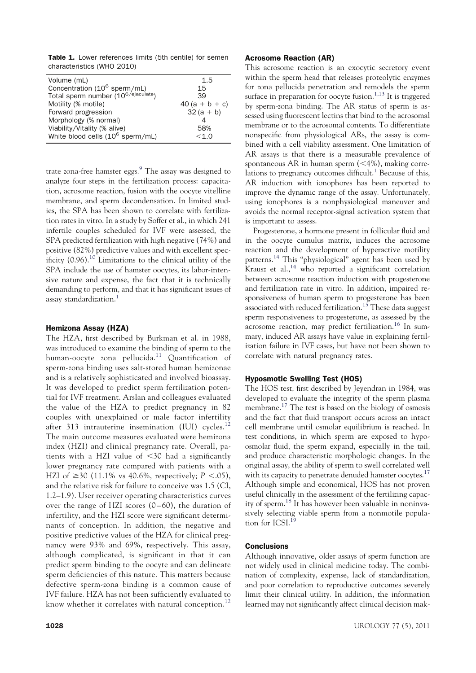Table 1. Lower references limits (5th centile) for semen characteristics (WHO 2010)

| Volume (mL)                                     | 1.5             |
|-------------------------------------------------|-----------------|
| Concentration (10 <sup>6</sup> sperm/mL)        | 15              |
| Total sperm number (10 <sup>6/ejaculate</sup> ) | 39              |
| Motility (% motile)                             | $40(a + b + c)$ |
| Forward progression                             | $32(a + b)$     |
| Morphology (% normal)                           |                 |
| Viability/Vitality (% alive)                    | 58%             |
| White blood cells (10 <sup>6</sup> sperm/mL)    | < 1.0           |
|                                                 |                 |

trate zona-free hamster eggs.<sup>9</sup> The assay was designed to analyze four steps in the fertilization process: capacitation, acrosome reaction, fusion with the oocyte vitelline membrane, and sperm decondensation. In limited studies, the SPA has been shown to correlate with fertilization rates in vitro. In a study by Soffer et al., in which 241 infertile couples scheduled for IVF were assessed, the SPA predicted fertilization with high negative (74%) and positive (82%) predictive values and with excellent specificity  $(0.96)$ <sup>10</sup> Limitations to the clinical utility of the SPA include the use of hamster oocytes, its labor-intensive nature and expense, the fact that it is technically demanding to perform, and that it has significant issues of assay standardization.<sup>1</sup>

## Hemizona Assay (HZA)

The HZA, first described by Burkman et al. in 1988, was introduced to examine the binding of sperm to the human-oocyte zona pellucida.<sup>11</sup> Quantification of sperm-zona binding uses salt-stored human hemizonae and is a relatively sophisticated and involved bioassay. It was developed to predict sperm fertilization potential for IVF treatment. Arslan and colleagues evaluated the value of the HZA to predict pregnancy in 82 couples with unexplained or male factor infertility after 313 intrauterine insemination (IUI) cycles. $^{12}$ The main outcome measures evaluated were hemizona index (HZI) and clinical pregnancy rate. Overall, patients with a HZI value of  $<30$  had a significantly lower pregnancy rate compared with patients with a HZI of  $\geq$ 30 (11.1% vs 40.6%, respectively; *P* <.05), and the relative risk for failure to conceive was 1.5 (CI, 1.2–1.9). User receiver operating characteristics curves over the range of HZI scores  $(0-60)$ , the duration of infertility, and the HZI score were significant determinants of conception. In addition, the negative and positive predictive values of the HZA for clinical pregnancy were 93% and 69%, respectively. This assay, although complicated, is significant in that it can predict sperm binding to the oocyte and can delineate sperm deficiencies of this nature. This matters because defective sperm-zona binding is a common cause of IVF failure. HZA has not been sufficiently evaluated to know whether it correlates with natural conception.<sup>12</sup>

## Acrosome Reaction (AR)

This acrosome reaction is an exocytic secretory event within the sperm head that releases proteolytic enzymes for zona pellucida penetration and remodels the sperm surface in preparation for oocyte fusion.<sup>1,13</sup> It is triggered by sperm-zona binding. The AR status of sperm is assessed using fluorescent lectins that bind to the acrosomal membrane or to the acrosomal contents. To differentiate nonspecific from physiological ARs, the assay is combined with a cell viability assessment. One limitation of AR assays is that there is a measurable prevalence of spontaneous AR in human sperm  $(<$ 4%), making correlations to pregnancy outcomes difficult.<sup>1</sup> Because of this, AR induction with ionophores has been reported to improve the dynamic range of the assay. Unfortunately, using ionophores is a nonphysiological maneuver and avoids the normal receptor-signal activation system that is important to assess.

Progesterone, a hormone present in follicular fluid and in the oocyte cumulus matrix, induces the acrosome reaction and the development of hyperactive motility patterns.<sup>14</sup> This "physiological" agent has been used by  $K$ rausz et al.,  $14$  who reported a significant correlation between acrosome reaction induction with progesterone and fertilization rate in vitro. In addition, impaired responsiveness of human sperm to progesterone has been associated with reduced fertilization.<sup>15</sup> These data suggest sperm responsiveness to progesterone, as assessed by the acrosome reaction, may predict fertilization.<sup>16</sup> In summary, induced AR assays have value in explaining fertilization failure in IVF cases, but have not been shown to correlate with natural pregnancy rates.

# Hyposmotic Swelling Test (HOS)

The HOS test, first described by Jeyendran in 1984, was developed to evaluate the integrity of the sperm plasma membrane.<sup>17</sup> The test is based on the biology of osmosis and the fact that fluid transport occurs across an intact cell membrane until osmolar equilibrium is reached. In test conditions, in which sperm are exposed to hypoosmolar fluid, the sperm expand, especially in the tail, and produce characteristic morphologic changes. In the original assay, the ability of sperm to swell correlated well with its capacity to penetrate denuded hamster oocytes.<sup>17</sup> Although simple and economical, HOS has not proven useful clinically in the assessment of the fertilizing capacity of sperm.<sup>18</sup> It has however been valuable in noninvasively selecting viable sperm from a nonmotile population for ICSL<sup>19</sup>

## **Conclusions**

Although innovative, older assays of sperm function are not widely used in clinical medicine today. The combination of complexity, expense, lack of standardization, and poor correlation to reproductive outcomes severely limit their clinical utility. In addition, the information learned may not significantly affect clinical decision mak-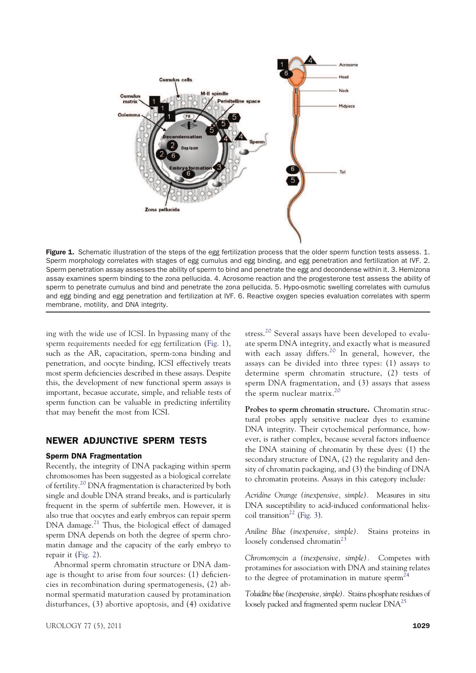

Figure 1. Schematic illustration of the steps of the egg fertilization process that the older sperm function tests assess. 1. Sperm morphology correlates with stages of egg cumulus and egg binding, and egg penetration and fertilization at IVF. 2. Sperm penetration assay assesses the ability of sperm to bind and penetrate the egg and decondense within it. 3. Hemizona assay examines sperm binding to the zona pellucida. 4. Acrosome reaction and the progesterone test assess the ability of sperm to penetrate cumulus and bind and penetrate the zona pellucida. 5. Hypo-osmotic swelling correlates with cumulus and egg binding and egg penetration and fertilization at IVF. 6. Reactive oxygen species evaluation correlates with sperm membrane, motility, and DNA integrity.

ing with the wide use of ICSI. In bypassing many of the sperm requirements needed for egg fertilization (Fig. 1), such as the AR, capacitation, sperm-zona binding and penetration, and oocyte binding, ICSI effectively treats most sperm deficiencies described in these assays. Despite this, the development of new functional sperm assays is important, becasue accurate, simple, and reliable tests of sperm function can be valuable in predicting infertility that may benefit the most from ICSI.

# NEWER ADJUNCTIVE SPERM TESTS

## Sperm DNA Fragmentation

Recently, the integrity of DNA packaging within sperm chromosomes has been suggested as a biological correlate of fertility.<sup>20</sup> DNA fragmentation is characterized by both single and double DNA strand breaks, and is particularly frequent in the sperm of subfertile men. However, it is also true that oocytes and early embryos can repair sperm DNA damage.<sup>21</sup> Thus, the biological effect of damaged sperm DNA depends on both the degree of sperm chromatin damage and the capacity of the early embryo to repair it (Fig. 2).

Abnormal sperm chromatin structure or DNA damage is thought to arise from four sources: (1) deficiencies in recombination during spermatogenesis, (2) abnormal spermatid maturation caused by protamination disturbances, (3) abortive apoptosis, and (4) oxidative stress.<sup>20</sup> Several assays have been developed to evaluate sperm DNA integrity, and exactly what is measured with each assay differs.<sup>20</sup> In general, however, the assays can be divided into three types: (1) assays to determine sperm chromatin structure, (2) tests of sperm DNA fragmentation, and (3) assays that assess the sperm nuclear matrix.<sup>20</sup>

**Probes to sperm chromatin structure.** Chromatin structural probes apply sensitive nuclear dyes to examine DNA integrity. Their cytochemical performance, however, is rather complex, because several factors influence the DNA staining of chromatin by these dyes: (1) the secondary structure of DNA, (2) the regularity and density of chromatin packaging, and (3) the binding of DNA to chromatin proteins. Assays in this category include:

*Acridine Orange (inexpensive, simple).* Measures in situ DNA susceptibility to acid-induced conformational helixcoil transition<sup>22</sup> (Fig. 3).

*Aniline Blue (inexpensive, simple).* Stains proteins in loosely condensed chromatin<sup>23</sup>

*Chromomycin a (inexpensive, simple).* Competes with protamines for association with DNA and staining relates to the degree of protamination in mature sperm<sup>24</sup>

*Toluidine blue (inexpensive, simple).* Stains phosphate residues of loosely packed and fragmented sperm nuclear DNA<sup>25</sup>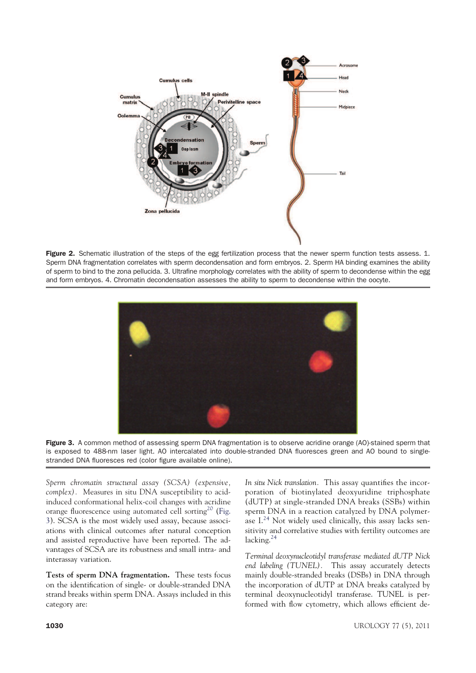

Figure 2. Schematic illustration of the steps of the egg fertilization process that the newer sperm function tests assess. 1. Sperm DNA fragmentation correlates with sperm decondensation and form embryos. 2. Sperm HA binding examines the ability of sperm to bind to the zona pellucida. 3. Ultrafine morphology correlates with the ability of sperm to decondense within the egg and form embryos. 4. Chromatin decondensation assesses the ability to sperm to decondense within the oocyte.



Figure 3. A common method of assessing sperm DNA fragmentation is to observe acridine orange (AO)-stained sperm that is exposed to 488-nm laser light. AO intercalated into double-stranded DNA fluoresces green and AO bound to singlestranded DNA fluoresces red (color figure available online).

*Sperm chromatin structural assay (SCSA) (expensive, complex).* Measures in situ DNA susceptibility to acidinduced conformational helix-coil changes with acridine orange fluorescence using automated cell sorting<sup>20</sup> (Fig. 3). SCSA is the most widely used assay, because associations with clinical outcomes after natural conception and assisted reproductive have been reported. The advantages of SCSA are its robustness and small intra- and interassay variation.

**Tests of sperm DNA fragmentation.** These tests focus on the identification of single- or double-stranded DNA strand breaks within sperm DNA. Assays included in this category are:

*In situ Nick translation.* This assay quantifies the incorporation of biotinylated deoxyuridine triphosphate (dUTP) at single-stranded DNA breaks (SSBs) within sperm DNA in a reaction catalyzed by DNA polymerase  $I^{24}$  Not widely used clinically, this assay lacks sensitivity and correlative studies with fertility outcomes are lacking.<sup>24</sup>

*Terminal deoxynucleotidyl transferase mediated dUTP Nick end labeling (TUNEL).* This assay accurately detects mainly double-stranded breaks (DSBs) in DNA through the incorporation of dUTP at DNA breaks catalyzed by terminal deoxynucleotidyl transferase. TUNEL is performed with flow cytometry, which allows efficient de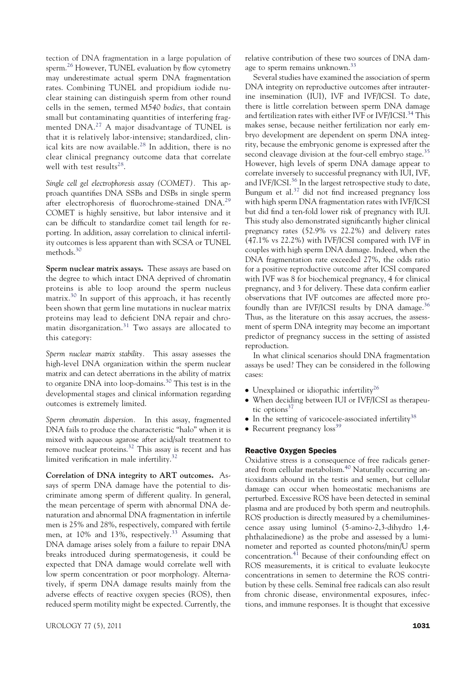tection of DNA fragmentation in a large population of sperm.<sup>26</sup> However, TUNEL evaluation by flow cytometry may underestimate actual sperm DNA fragmentation rates. Combining TUNEL and propidium iodide nuclear staining can distinguish sperm from other round cells in the semen, termed *M540 bodies*, that contain small but contaminating quantities of interfering fragmented DNA.<sup>27</sup> A major disadvantage of TUNEL is that it is relatively labor-intensive; standardized, clinical kits are now available.<sup>28</sup> In addition, there is no clear clinical pregnancy outcome data that correlate well with test results<sup>28</sup>.

*Single cell gel electrophoresis assay (COMET).* This approach quantifies DNA SSBs and DSBs in single sperm after electrophoresis of fluorochrome-stained DNA.<sup>29</sup> COMET is highly sensitive, but labor intensive and it can be difficult to standardize comet tail length for reporting. In addition, assay correlation to clinical infertility outcomes is less apparent than with SCSA or TUNEL methods.<sup>30</sup>

**Sperm nuclear matrix assays.** These assays are based on the degree to which intact DNA deprived of chromatin proteins is able to loop around the sperm nucleus matrix.<sup>30</sup> In support of this approach, it has recently been shown that germ line mutations in nuclear matrix proteins may lead to deficient DNA repair and chromatin disorganization.<sup>31</sup> Two assays are allocated to this category:

*Sperm nuclear matrix stability.* This assay assesses the high-level DNA organization within the sperm nuclear matrix and can detect aberrations in the ability of matrix to organize DNA into loop-domains.<sup>30</sup> This test is in the developmental stages and clinical information regarding outcomes is extremely limited.

*Sperm chromatin dispersion.* In this assay, fragmented DNA fails to produce the characteristic "halo" when it is mixed with aqueous agarose after acid/salt treatment to remove nuclear proteins.<sup>32</sup> This assay is recent and has limited verification in male infertility.<sup>32</sup>

**Correlation of DNA integrity to ART outcomes.** Assays of sperm DNA damage have the potential to discriminate among sperm of different quality. In general, the mean percentage of sperm with abnormal DNA denaturation and abnormal DNA fragmentation in infertile men is 25% and 28%, respectively, compared with fertile men, at 10% and 13%, respectively.<sup>33</sup> Assuming that DNA damage arises solely from a failure to repair DNA breaks introduced during spermatogenesis, it could be expected that DNA damage would correlate well with low sperm concentration or poor morphology. Alternatively, if sperm DNA damage results mainly from the adverse effects of reactive oxygen species (ROS), then reduced sperm motility might be expected. Currently, the relative contribution of these two sources of DNA damage to sperm remains unknown.<sup>33</sup>

Several studies have examined the association of sperm DNA integrity on reproductive outcomes after intrauterine insemination (IUI), IVF and IVF/ICSI. To date, there is little correlation between sperm DNA damage and fertilization rates with either IVF or IVF/ICSI.<sup>34</sup> This makes sense, because neither fertilization nor early embryo development are dependent on sperm DNA integrity, because the embryonic genome is expressed after the second cleavage division at the four-cell embryo stage.<sup>35</sup> However, high levels of sperm DNA damage appear to correlate inversely to successful pregnancy with IUI, IVF, and IVF/ICSI.<sup>36</sup> In the largest retrospective study to date, Bungum et al.<sup>37</sup> did not find increased pregnancy loss with high sperm DNA fragmentation rates with IVF/ICSI but did find a ten-fold lower risk of pregnancy with IUI. This study also demonstrated significantly higher clinical pregnancy rates (52.9% vs 22.2%) and delivery rates (47.1% vs 22.2%) with IVF/ICSI compared with IVF in couples with high sperm DNA damage. Indeed, when the DNA fragmentation rate exceeded 27%, the odds ratio for a positive reproductive outcome after ICSI compared with IVF was 8 for biochemical pregnancy, 4 for clinical pregnancy, and 3 for delivery. These data confirm earlier observations that IVF outcomes are affected more profoundly than are IVF/ICSI results by DNA damage. $36$ Thus, as the literature on this assay accrues, the assessment of sperm DNA integrity may become an important predictor of pregnancy success in the setting of assisted reproduction.

In what clinical scenarios should DNA fragmentation assays be used? They can be considered in the following cases:

- $\bullet$  Unexplained or idiopathic infertility<sup>26</sup>
- When deciding between IUI or IVF/ICSI as therapeutic options $37$
- $\bullet$  In the setting of varicocele-associated infertility<sup>38</sup>
- Recurrent pregnancy  $loss^{39}$

## Reactive Oxygen Species

Oxidative stress is a consequence of free radicals generated from cellular metabolism.<sup>40</sup> Naturally occurring antioxidants abound in the testis and semen, but cellular damage can occur when homeostatic mechanisms are perturbed. Excessive ROS have been detected in seminal plasma and are produced by both sperm and neutrophils. ROS production is directly measured by a chemiluminescence assay using luminol (5-amino-2,3-dihydro 1,4 phthalazinedione) as the probe and assessed by a luminometer and reported as counted photons/min/U sperm concentration. $4\overline{1}$  Because of their confounding effect on ROS measurements, it is critical to evaluate leukocyte concentrations in semen to determine the ROS contribution by these cells. Seminal free radicals can also result from chronic disease, environmental exposures, infections, and immune responses. It is thought that excessive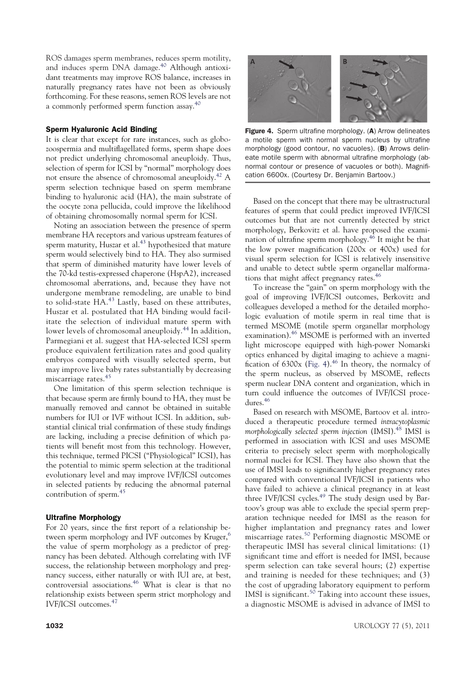ROS damages sperm membranes, reduces sperm motility, and induces sperm DNA damage.<sup>40</sup> Although antioxidant treatments may improve ROS balance, increases in naturally pregnancy rates have not been as obviously forthcoming. For these reasons, semen ROS levels are not a commonly performed sperm function assay.<sup>40</sup>

## Sperm Hyaluronic Acid Binding

It is clear that except for rare instances, such as globozoospermia and multiflagellated forms, sperm shape does not predict underlying chromosomal aneuploidy. Thus, selection of sperm for ICSI by "normal" morphology does not ensure the absence of chromosomal aneuploidy.<sup>42</sup> A sperm selection technique based on sperm membrane binding to hyaluronic acid (HA), the main substrate of the oocyte zona pellucida, could improve the likelihood of obtaining chromosomally normal sperm for ICSI.

Noting an association between the presence of sperm membrane HA receptors and various upstream features of sperm maturity, Huszar et al.<sup>43</sup> hypothesized that mature sperm would selectively bind to HA. They also surmised that sperm of diminished maturity have lower levels of the 70-kd testis-expressed chaperone (HspA2), increased chromosomal aberrations, and, because they have not undergone membrane remodeling, are unable to bind to solid-state  $HA^{43}$  Lastly, based on these attributes, Huszar et al. postulated that HA binding would facilitate the selection of individual mature sperm with lower levels of chromosomal aneuploidy.<sup>44</sup> In addition, Parmegiani et al. suggest that HA-selected ICSI sperm produce equivalent fertilization rates and good quality embryos compared with visually selected sperm, but may improve live baby rates substantially by decreasing miscarriage rates.<sup>45</sup>

One limitation of this sperm selection technique is that because sperm are firmly bound to HA, they must be manually removed and cannot be obtained in suitable numbers for IUI or IVF without ICSI. In addition, substantial clinical trial confirmation of these study findings are lacking, including a precise definition of which patients will benefit most from this technology. However, this technique, termed PICSI ("Physiological" ICSI), has the potential to mimic sperm selection at the traditional evolutionary level and may improve IVF/ICSI outcomes in selected patients by reducing the abnormal paternal contribution of sperm.<sup>45</sup>

## Ultrafine Morphology

For 20 years, since the first report of a relationship between sperm morphology and IVF outcomes by Kruger,<sup>6</sup> the value of sperm morphology as a predictor of pregnancy has been debated. Although correlating with IVF success, the relationship between morphology and pregnancy success, either naturally or with IUI are, at best, controversial associations.<sup>46</sup> What is clear is that no relationship exists between sperm strict morphology and IVF/ICSI outcomes.<sup>47</sup>



Figure 4. Sperm ultrafine morphology. (A) Arrow delineates a motile sperm with normal sperm nucleus by ultrafine morphology (good contour, no vacuoles). (B) Arrows delineate motile sperm with abnormal ultrafine morphology (abnormal contour or presence of vacuoles or both). Magnification 6600x. (Courtesy Dr. Benjamin Bartoov.)

Based on the concept that there may be ultrastructural features of sperm that could predict improved IVF/ICSI outcomes but that are not currently detected by strict morphology, Berkovitz et al. have proposed the examination of ultrafine sperm morphology. $4\overline{6}$  It might be that the low power magnification (200x or 400x) used for visual sperm selection for ICSI is relatively insensitive and unable to detect subtle sperm organellar malformations that might affect pregnancy rates.<sup>46</sup>

To increase the "gain" on sperm morphology with the goal of improving IVF/ICSI outcomes, Berkovitz and colleagues developed a method for the detailed morphologic evaluation of motile sperm in real time that is termed MSOME (motile sperm organellar morphology examination).<sup>46</sup> MSOME is performed with an inverted light microscope equipped with high-power Nomarski optics enhanced by digital imaging to achieve a magnification of  $6300x$  (Fig. 4).<sup>46</sup> In theory, the normalcy of the sperm nucleus, as observed by MSOME, reflects sperm nuclear DNA content and organization, which in turn could influence the outcomes of IVF/ICSI procedures.<sup>46</sup>

Based on research with MSOME, Bartoov et al. introduced a therapeutic procedure termed *intracytoplasmic morphologically selected sperm injection* (IMSI).<sup>48</sup> IMSI is performed in association with ICSI and uses MSOME criteria to precisely select sperm with morphologically normal nuclei for ICSI. They have also shown that the use of IMSI leads to significantly higher pregnancy rates compared with conventional IVF/ICSI in patients who have failed to achieve a clinical pregnancy in at least three IVF/ICSI cycles.<sup>49</sup> The study design used by Bartoov's group was able to exclude the special sperm preparation technique needed for IMSI as the reason for higher implantation and pregnancy rates and lower miscarriage rates.<sup>50</sup> Performing diagnostic MSOME or therapeutic IMSI has several clinical limitations: (1) significant time and effort is needed for IMSI, because sperm selection can take several hours; (2) expertise and training is needed for these techniques; and (3) the cost of upgrading laboratory equipment to perform IMSI is significant.<sup>50</sup> Taking into account these issues, a diagnostic MSOME is advised in advance of IMSI to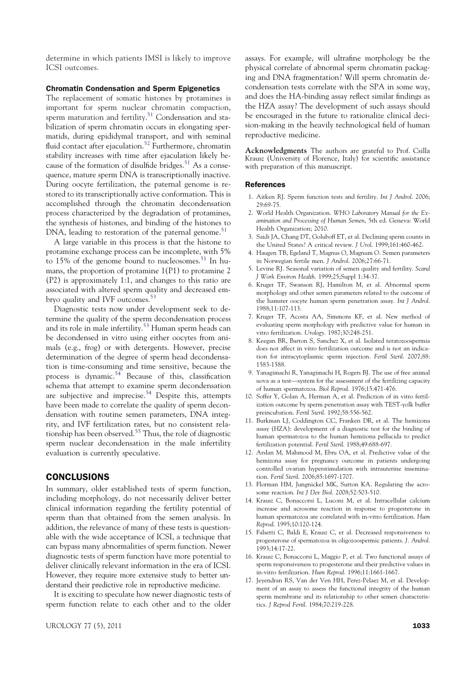determine in which patients IMSI is likely to improve ICSI outcomes.

#### Chromatin Condensation and Sperm Epigenetics

The replacement of somatic histones by protamines is important for sperm nuclear chromatin compaction, sperm maturation and fertility.<sup>51</sup> Condensation and stabilization of sperm chromatin occurs in elongating spermatids, during epididymal transport, and with seminal fluid contact after ejaculation.<sup>52</sup> Furthermore, chromatin stability increases with time after ejaculation likely because of the formation of disulfide bridges.<sup>51</sup> As a consequence, mature sperm DNA is transcriptionally inactive. During oocyte fertilization, the paternal genome is restored to its transcriptionally active conformation. This is accomplished through the chromatin decondensation process characterized by the degradation of protamines, the synthesis of histones, and binding of the histones to  $DNA$ , leading to restoration of the paternal genome.<sup>51</sup>

A large variable in this process is that the histone to protamine exchange process can be incomplete, with 5% to 15% of the genome bound to nucleosomes.<sup>51</sup> In humans, the proportion of protamine 1(P1) to protamine 2 (P2) is approximately 1:1, and changes to this ratio are associated with altered sperm quality and decreased embryo quality and IVF outcomes.<sup>53</sup>

Diagnostic tests now under development seek to determine the quality of the sperm decondensation process and its role in male infertility.<sup>53</sup> Human sperm heads can be decondensed in vitro using either oocytes from animals (e.g., frog) or with detergents. However, precise determination of the degree of sperm head decondensation is time-consuming and time sensitive, because the process is dynamic.<sup>54</sup> Because of this, classification schema that attempt to examine sperm decondensation are subjective and imprecise.<sup>54</sup> Despite this, attempts have been made to correlate the quality of sperm decondensation with routine semen parameters, DNA integrity, and IVF fertilization rates, but no consistent relationship has been observed.<sup>55</sup> Thus, the role of diagnostic sperm nuclear decondensation in the male infertility evaluation is currently speculative.

## CONCLUSIONS

In summary, older established tests of sperm function, including morphology, do not necessarily deliver better clinical information regarding the fertility potential of sperm than that obtained from the semen analysis. In addition, the relevance of many of these tests is questionable with the wide acceptance of ICSI, a technique that can bypass many abnormalities of sperm function. Newer diagnostic tests of sperm function have more potential to deliver clinically relevant information in the era of ICSI. However, they require more extensive study to better understand their predictive role in reproductive medicine.

It is exciting to speculate how newer diagnostic tests of sperm function relate to each other and to the older

assays. For example, will ultrafine morphology be the physical correlate of abnormal sperm chromatin packaging and DNA fragmentation? Will sperm chromatin decondensation tests correlate with the SPA in some way, and does the HA-binding assay reflect similar findings as the HZA assay? The development of such assays should be encouraged in the future to rationalize clinical decision-making in the heavily technological field of human reproductive medicine.

**Acknowledgments** The authors are grateful to Prof. Csilla Krausz (University of Florence, Italy) for scientific assistance with preparation of this manuscript.

#### References

- 1. Aitken RJ. Sperm function tests and fertility. *Int J Androl*. 2006; 29:69-75.
- 2. World Health Organization. *WHO Laboratory Manual for the Examination and Processing of Human Semen*, 5th ed. Geneva: World Health Organization; 2010.
- 3. Saidi JA, Chang DT, Goluboff ET, et al. Declining sperm counts in the United States? A critical review. *J Urol*. 1999;161:460-462.
- 4. Haugen TB, Egeland T, Magnus O, Magnum O. Semen parameters in Norwegian fertile men. *J Androl*. 2006;27:66-71.
- 5. Levine RJ. Seasonal variation of semen quality and fertility. *Scand J Work Environ Health*. 1999;25;Suppl 1:34-37.
- 6. Kruger TF, Swanson RJ, Hamilton M, et al. Abnormal sperm morphology and other semen parameters related to the outcome of the hamster oocyte human sperm penetration assay. *Int J Androl*. 1988;11:107-113.
- 7. Kruger TF, Acosta AA, Simmons KF, et al. New method of evaluating sperm morphology with predictive value for human in vitro fertilization. *Urology*. 1987;30:248-251.
- 8. Keegan BR, Barton S, Sanchez X, et al. Isolated teratozoospermia does not affect in vitro fertilization outcome and is not an indication for intracytoplasmic sperm injection. *Fertil Steril*. 2007;88: 1583-1588.
- 9. Yanagimachi R, Yanagimachi H, Rogers BJ. The use of free animal uova as a test—system for the assessment of the fertilizing capacity of human spermatozoa. *Biol Reprod*. 1976;15:471-476.
- 10. Soffer Y, Golan A, Herman A, et al. Prediction of in vitro fertilization outcome by sperm penetration assay with TEST-yolk buffer preincubation. *Fertil Steril*. 1992;58:556-562.
- 11. Burkman LJ, Coddington CC, Franken DR, et al. The hemizona assay (HZA): development of a diagnostic test for the binding of human spermatozoa to the human hemizona pellucida to predict fertilization potential. *Fertil Steril*. 1988;49:688-697.
- 12. Arslan M, Mahmood M, Ebru OA, et al. Predictive value of the hemizona assay for pregnancy outcome in patients undergoing controlled ovarian hyperstimulation with intrauterine insemination. *Fertil Steril*. 2006;85:1697-1707.
- 13. Florman HM, Jungnickel MK, Sutton KA. Regulating the acrosome reaction. *Int J Dev Biol*. 2008;52:503-510.
- 14. Krausz C, Bonaccorsi L, Luconi M, et al. Intracellular calcium increase and acrosome reaction in response to progesterone in human spermatozoa are correlated with in-vitro fertilization. *Hum Reprod*. 1995;10:120-124.
- 15. Falsetti C, Baldi E, Krausz C, et al. Decreased responsiveness to progesterone of spermatozoa in oligozoospermic patients. *J. Androl*. 1993;14:17-22.
- 16. Krausz C, Bonaccorsi L, Maggio P, et al. Two functional assays of sperm responsiveness to progesterone and their predictive values in in-vitro fertilization. *Hum Reprod*. 1996;11:1661-1667.
- 17. Jeyendran RS, Van der Ven HH, Perez-Pelaez M, et al. Development of an assay to assess the functional integrity of the human sperm membrane and its relationship to other semen characteristics. *J Reprod Fertil*. 1984;70:219-228.